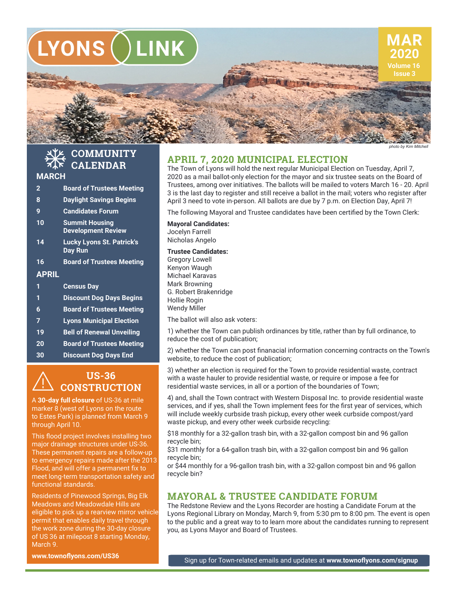

*photo by Kim Mitchell*

#### **COMMUNITY CALENDAR** 桊

## **MARCH**

- **2 Board of Trustees Meeting**
- **8 Daylight Savings Begins**
- **9 Candidates Forum**
- **10 Summit Housing Development Review**
- **14 Lucky Lyons St. Patrick's Day Run**
- **16 Board of Trustees Meeting**

## **APRIL**

- **1 Census Day**
- **1 Discount Dog Days Begins**
- **6 Board of Trustees Meeting**
- **7 Lyons Municipal Election**
- **19 Bell of Renewal Unveiling**
- **20 Board of Trustees Meeting**
- **30 Discount Dog Days End**

#### **US-36 CONSTRUCTION**  $\overline{\mathbb{A}}$

A **30-day full closure** of US-36 at mile marker 8 (west of Lyons on the route to Estes Park) is planned from March 9 through April 10.

This flood project involves installing two major drainage structures under US-36. These permanent repairs are a follow-up to emergency repairs made after the 2013 Flood, and will offer a permanent fix to meet long-term transportation safety and functional standards.

Residents of Pinewood Springs, Big Elk Meadows and Meadowdale Hills are eligible to pick up a rearview mirror vehicle permit that enables daily travel through the work zone during the 30-day closure of US 36 at milepost 8 starting Monday, March 9.

**www.townoflyons.com/US36**

# **APRIL 7, 2020 MUNICIPAL ELECTION**

The Town of Lyons will hold the next regular Municipal Election on Tuesday, April 7, 2020 as a mail ballot-only election for the mayor and six trustee seats on the Board of Trustees, among over initiatives. The ballots will be mailed to voters March 16 - 20. April 3 is the last day to register and still receive a ballot in the mail; voters who register after April 3 need to vote in-person. All ballots are due by 7 p.m. on Election Day, April 7!

The following Mayoral and Trustee candidates have been certified by the Town Clerk:

**Mayoral Candidates:** Jocelyn Farrell Nicholas Angelo

## **Trustee Candidates:**

Gregory Lowell Kenyon Waugh Michael Karavas Mark Browning G. Robert Brakenridge Hollie Rogin Wendy Miller

The ballot will also ask voters:

1) whether the Town can publish ordinances by title, rather than by full ordinance, to reduce the cost of publication;

2) whether the Town can post finanacial information concerning contracts on the Town's website, to reduce the cost of publication;

3) whether an election is required for the Town to provide residential waste, contract with a waste hauler to provide residential waste, or require or impose a fee for residential waste services, in all or a portion of the boundaries of Town;

4) and, shall the Town contract with Western Disposal Inc. to provide residential waste services, and if yes, shall the Town implement fees for the first year of services, which will include weekly curbside trash pickup, every other week curbside compost/yard waste pickup, and every other week curbside recycling:

\$18 monthly for a 32-gallon trash bin, with a 32-gallon compost bin and 96 gallon recycle bin;

\$31 monthly for a 64-gallon trash bin, with a 32-gallon compost bin and 96 gallon recycle bin;

or \$44 monthly for a 96-gallon trash bin, with a 32-gallon compost bin and 96 gallon recycle bin?

# **MAYORAL & TRUSTEE CANDIDATE FORUM**

The Redstone Review and the Lyons Recorder are hosting a Candidate Forum at the Lyons Regional Library on Monday, March 9, from 5:30 pm to 8:00 pm. The event is open to the public and a great way to to learn more about the candidates running to represent you, as Lyons Mayor and Board of Trustees.